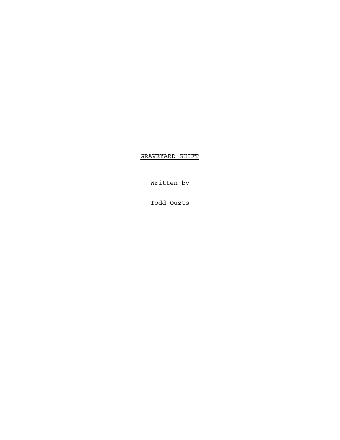GRAVEYARD SHIFT

Written by

Todd Ouzts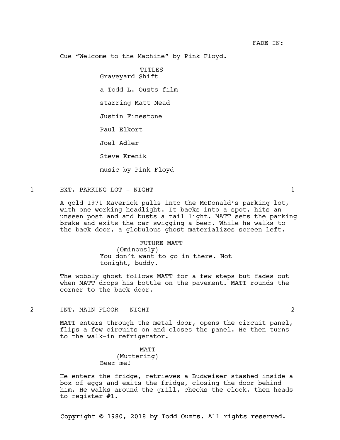Cue "Welcome to the Machine" by Pink Floyd.

TITLES

Graveyard Shift

a Todd L. Ouzts film

starring Matt Mead

Justin Finestone

Paul Elkort

Joel Adler

Steve Krenik

music by Pink Floyd

## 1 EXT. PARKING LOT - NIGHT 1

A gold 1971 Maverick pulls into the McDonald's parking lot, with one working headlight. It backs into a spot, hits an unseen post and and busts a tail light. MATT sets the parking brake and exits the car swigging a beer. While he walks to the back door, a globulous ghost materializes screen left.

> FUTURE MATT (Ominously) You don't want to go in there. Not tonight, buddy.

The wobbly ghost follows MATT for a few steps but fades out when MATT drops his bottle on the pavement. MATT rounds the corner to the back door.

2 INT. MAIN FLOOR - NIGHT 2

MATT enters through the metal door, opens the circuit panel, flips a few circuits on and closes the panel. He then turns to the walk-in refrigerator.

> MATT (Muttering) Beer me!

He enters the fridge, retrieves a Budweiser stashed inside a box of eggs and exits the fridge, closing the door behind him. He walks around the grill, checks the clock, then heads to register #1.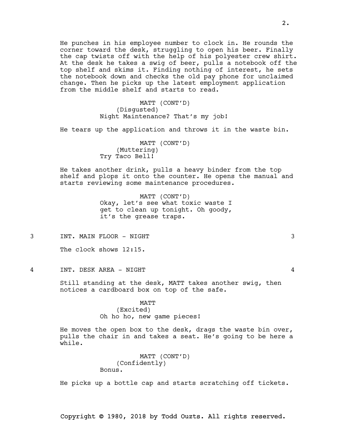He punches in his employee number to clock in. He rounds the corner toward the desk, struggling to open his beer. Finally the cap twists off with the help of his polyester crew shirt. At the desk he takes a swig of beer, pulls a notebook off the top shelf and skims it. Finding nothing of interest, he sets the notebook down and checks the old pay phone for unclaimed change. Then he picks up the latest employment application from the middle shelf and starts to read.

> MATT (CONT'D) (Disgusted) Night Maintenance? That's my job!

He tears up the application and throws it in the waste bin.

MATT (CONT'D) (Muttering) Try Taco Bell!

He takes another drink, pulls a heavy binder from the top shelf and plops it onto the counter. He opens the manual and starts reviewing some maintenance procedures.

> MATT (CONT'D) Okay, let's see what toxic waste I get to clean up tonight. Oh goody, it's the grease traps.

3 INT. MAIN FLOOR - NIGHT 3

The clock shows 12:15.

4 INT. DESK AREA - NIGHT 4

Still standing at the desk, MATT takes another swig, then notices a cardboard box on top of the safe.

MATT

(Excited) Oh ho ho, new game pieces!

He moves the open box to the desk, drags the waste bin over, pulls the chair in and takes a seat. He's going to be here a while.

> MATT (CONT'D) (Confidently) Bonus.

He picks up a bottle cap and starts scratching off tickets.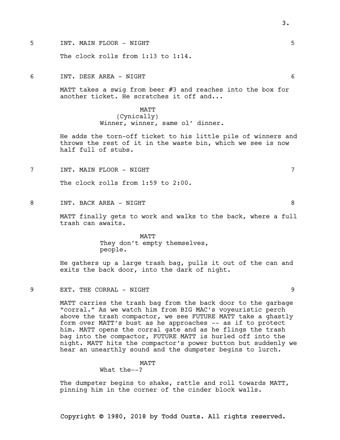5 INT. MAIN FLOOR - NIGHT 5

The clock rolls from 1:13 to 1:14.

6 INT. DESK AREA - NIGHT 6

MATT takes a swig from beer #3 and reaches into the box for another ticket. He scratches it off and...

### MATT

(Cynically) Winner, winner, same ol' dinner.

He adds the torn-off ticket to his little pile of winners and throws the rest of it in the waste bin, which we see is now half full of stubs.

7 INT. MAIN FLOOR - NIGHT 7

The clock rolls from 1:59 to 2:00.

8 INT. BACK AREA – NIGHT 8

MATT finally gets to work and walks to the back, where a full trash can awaits.

> MATT They don't empty themselves, people.

He gathers up a large trash bag, pulls it out of the can and exits the back door, into the dark of night.

9 EXT. THE CORRAL - NIGHT 9

MATT carries the trash bag from the back door to the garbage "corral." As we watch him from BIG MAC's voyeuristic perch above the trash compactor, we see FUTURE MATT take a ghastly form over MATT's bust as he approaches -- as if to protect him. MATT opens the corral gate and as he flings the trash bag into the compactor, FUTURE MATT is hurled off into the night. MATT hits the compactor's power button but suddenly we hear an unearthly sound and the dumpster begins to lurch.

### MATT

# What the--?

The dumpster begins to shake, rattle and roll towards MATT, pinning him in the corner of the cinder block walls.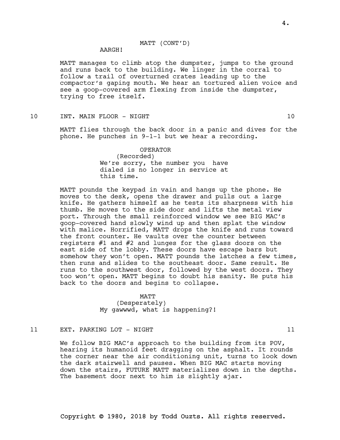## MATT (CONT'D)

# AARGH!

MATT manages to climb atop the dumpster, jumps to the ground and runs back to the building. We linger in the corral to follow a trail of overturned crates leading up to the compactor's gaping mouth. We hear an tortured alien voice and see a goop-covered arm flexing from inside the dumpster, trying to free itself.

10 INT. MAIN FLOOR - NIGHT 10

MATT flies through the back door in a panic and dives for the phone. He punches in 9-1-1 but we hear a recording.

## OPERATOR (Recorded) We're sorry, the number you have dialed is no longer in service at this time.

MATT pounds the keypad in vain and hangs up the phone. He moves to the desk, opens the drawer and pulls out a large knife. He gathers himself as he tests its sharpness with his thumb. He moves to the side door and lifts the metal view port. Through the small reinforced window we see BIG MAC's goop-covered hand slowly wind up and then splat the window with malice. Horrified, MATT drops the knife and runs toward the front counter. He vaults over the counter between registers #1 and #2 and lunges for the glass doors on the east side of the lobby. These doors have escape bars but somehow they won't open. MATT pounds the latches a few times, then runs and slides to the southeast door. Same result. He runs to the southwest door, followed by the west doors. They too won't open. MATT begins to doubt his sanity. He puts his back to the doors and begins to collapse.

> MATT (Desperately) My gawwwd, what is happening?!

## 11 EXT. PARKING LOT - NIGHT 11 and 11

We follow BIG MAC's approach to the building from its POV, hearing its humanoid feet dragging on the asphalt. It rounds the corner near the air conditioning unit, turns to look down the dark stairwell and pauses. When BIG MAC starts moving down the stairs, FUTURE MATT materializes down in the depths. The basement door next to him is slightly ajar.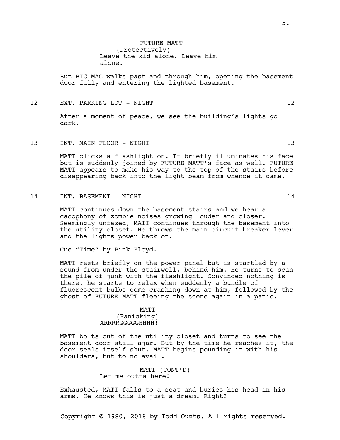But BIG MAC walks past and through him, opening the basement door fully and entering the lighted basement.

12 EXT. PARKING LOT - NIGHT 12

After a moment of peace, we see the building's lights go dark.

13 INT. MAIN FLOOR – NIGHT 13 13

MATT clicks a flashlight on. It briefly illuminates his face but is suddenly joined by FUTURE MATT's face as well. FUTURE MATT appears to make his way to the top of the stairs before disappearing back into the light beam from whence it came.

14 INT. BASEMENT - NIGHT 14

MATT continues down the basement stairs and we hear a cacophony of zombie noises growing louder and closer. Seemingly unfazed, MATT continues through the basement into the utility closet. He throws the main circuit breaker lever and the lights power back on.

Cue "Time" by Pink Floyd.

MATT rests briefly on the power panel but is startled by a sound from under the stairwell, behind him. He turns to scan the pile of junk with the flashlight. Convinced nothing is there, he starts to relax when suddenly a bundle of fluorescent bulbs come crashing down at him, followed by the ghost of FUTURE MATT fleeing the scene again in a panic.

### MATT

(Panicking) ARRRRGGGGGHHHH!

MATT bolts out of the utility closet and turns to see the basement door still ajar. But by the time he reaches it, the door seals itself shut. MATT begins pounding it with his shoulders, but to no avail.

> MATT (CONT'D) Let me outta here!

Exhausted, MATT falls to a seat and buries his head in his arms. He knows this is just a dream. Right?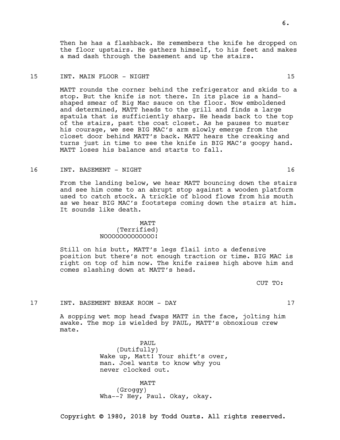Copyright © 1980, 2018 by Todd Ouzts. All rights reserved.

Then he has a flashback. He remembers the knife he dropped on the floor upstairs. He gathers himself, to his feet and makes a mad dash through the basement and up the stairs.

### 15 INT. MAIN FLOOR – NIGHT 15 15

MATT rounds the corner behind the refrigerator and skids to a stop. But the knife is not there. In its place is a handshaped smear of Big Mac sauce on the floor. Now emboldened and determined, MATT heads to the grill and finds a large spatula that is sufficiently sharp. He heads back to the top of the stairs, past the coat closet. As he pauses to muster his courage, we see BIG MAC's arm slowly emerge from the closet door behind MATT's back. MATT hears the creaking and turns just in time to see the knife in BIG MAC's goopy hand. MATT loses his balance and starts to fall.

### 16 INT. BASEMENT - NIGHT 16

From the landing below, we hear MATT bouncing down the stairs and see him come to an abrupt stop against a wooden platform used to catch stock. A trickle of blood flows from his mouth as we hear BIG MAC's footsteps coming down the stairs at him. It sounds like death.

### MATT

### (Terrified) NOOOOOOOOOOOOO!

Still on his butt, MATT's legs flail into a defensive position but there's not enough traction or time. BIG MAC is right on top of him now. The knife raises high above him and comes slashing down at MATT's head.

CUT TO:

## 17 INT. BASEMENT BREAK ROOM - DAY 17

A sopping wet mop head fwaps MATT in the face, jolting him awake. The mop is wielded by PAUL, MATT's obnoxious crew mate.

> PAUL (Dutifully) Wake up, Matt! Your shift's over, man. Joel wants to know why you never clocked out.

MATT (Groggy) Wha--? Hey, Paul. Okay, okay.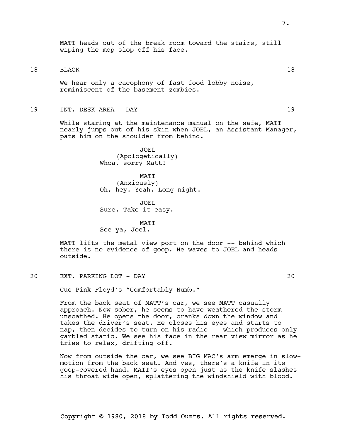MATT heads out of the break room toward the stairs, still wiping the mop slop off his face.

18 BLACK 18

We hear only a cacophony of fast food lobby noise, reminiscent of the basement zombies.

19 INT. DESK AREA - DAY 19

While staring at the maintenance manual on the safe, MATT nearly jumps out of his skin when JOEL, an Assistant Manager, pats him on the shoulder from behind.

> JOEL (Apologetically) Whoa, sorry Matt!

**MATT** (Anxiously) Oh, hey. Yeah. Long night.

JOEL Sure. Take it easy.

MATT See ya, Joel.

MATT lifts the metal view port on the door -- behind which there is no evidence of goop. He waves to JOEL and heads outside.

20 EXT. PARKING LOT - DAY 20

Cue Pink Floyd's "Comfortably Numb."

From the back seat of MATT's car, we see MATT casually approach. Now sober, he seems to have weathered the storm unscathed. He opens the door, cranks down the window and takes the driver's seat. He closes his eyes and starts to nap, then decides to turn on his radio -- which produces only garbled static. We see his face in the rear view mirror as he tries to relax, drifting off.

Now from outside the car, we see BIG MAC's arm emerge in slowmotion from the back seat. And yes, there's a knife in its goop-covered hand. MATT's eyes open just as the knife slashes his throat wide open, splattering the windshield with blood.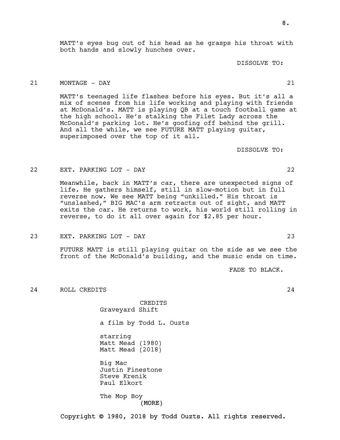MATT's eyes bug out of his head as he grasps his throat with both hands and slowly hunches over.

DISSOLVE TO:

## 21 MONTAGE - DAY 21

MATT's teenaged life flashes before his eyes. But it's all a mix of scenes from his life working and playing with friends at McDonald's. MATT is playing QB at a touch football game at the high school. He's stalking the Filet Lady across the McDonald's parking lot. He's goofing off behind the grill. And all the while, we see FUTURE MATT playing guitar, superimposed over the top of it all.

DISSOLVE TO:

### 22 EXT. PARKING LOT - DAY 22

Meanwhile, back in MATT's car, there are unexpected signs of life. He gathers himself, still in slow-motion but in full reverse now. We see MATT being "unkilled." His throat is "unslashed," BIG MAC's arm retracts out of sight, and MATT exits the car. He returns to work, his world still rolling in reverse, to do it all over again for \$2.85 per hour.

23 EXT. PARKING LOT - DAY 23

FUTURE MATT is still playing guitar on the side as we see the front of the McDonald's building, and the music ends on time.

FADE TO BLACK.

24 ROLL CREDITS 24

CREDITS Graveyard Shift

a film by Todd L. Ouzts

starring Matt Mead (1980) Matt Mead (2018)

Big Mac Justin Finestone Steve Krenik Paul Elkort

(MORE) The Mop Boy